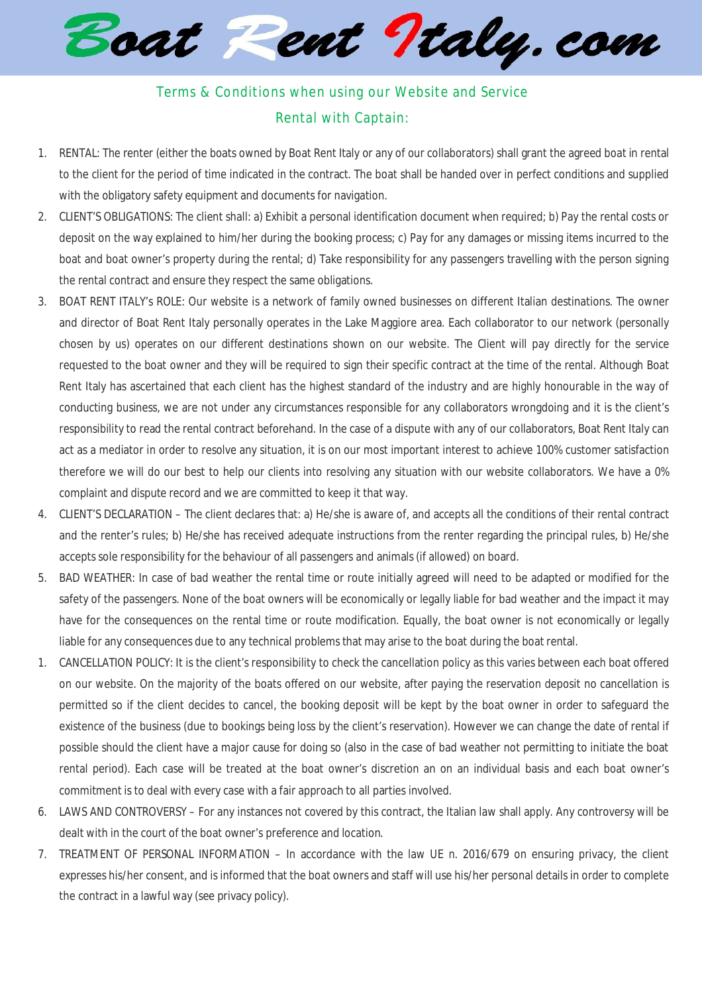Boat Pent Italy.com

## Terms & Conditions when using our Website and Service Rental with Captain:

- 1. RENTAL: The renter (either the boats owned by Boat Rent Italy or any of our collaborators) shall grant the agreed boat in rental to the client for the period of time indicated in the contract. The boat shall be handed over in perfect conditions and supplied with the obligatory safety equipment and documents for navigation.
- 2. CLIENT'S OBLIGATIONS: The client shall: a) Exhibit a personal identification document when required; b) Pay the rental costs or deposit on the way explained to him/her during the booking process; c) Pay for any damages or missing items incurred to the boat and boat owner's property during the rental; d) Take responsibility for any passengers travelling with the person signing the rental contract and ensure they respect the same obligations.
- 3. BOAT RENT ITALY's ROLE: Our website is a network of family owned businesses on different Italian destinations. The owner and director of Boat Rent Italy personally operates in the Lake Maggiore area. Each collaborator to our network (personally chosen by us) operates on our different destinations shown on our website. The Client will pay directly for the service requested to the boat owner and they will be required to sign their specific contract at the time of the rental. Although Boat Rent Italy has ascertained that each client has the highest standard of the industry and are highly honourable in the way of conducting business, we are not under any circumstances responsible for any collaborators wrongdoing and it is the client's responsibility to read the rental contract beforehand. In the case of a dispute with any of our collaborators, Boat Rent Italy can act as a mediator in order to resolve any situation, it is on our most important interest to achieve 100% customer satisfaction therefore we will do our best to help our clients into resolving any situation with our website collaborators. We have a 0% complaint and dispute record and we are committed to keep it that way.
- 4. CLIENT'S DECLARATION The client declares that: a) He/she is aware of, and accepts all the conditions of their rental contract and the renter's rules; b) He/she has received adequate instructions from the renter regarding the principal rules, b) He/she accepts sole responsibility for the behaviour of all passengers and animals(if allowed) on board.
- 5. BAD WEATHER: In case of bad weather the rental time or route initially agreed will need to be adapted or modified for the safety of the passengers. None of the boat owners will be economically or legally liable for bad weather and the impact it may have for the consequences on the rental time or route modification. Equally, the boat owner is not economically or legally liable for any consequences due to any technical problems that may arise to the boat during the boat rental.
- 1. CANCELLATION POLICY: It is the client's responsibility to check the cancellation policy as this varies between each boat offered on our website. On the majority of the boats offered on our website, after paying the reservation deposit no cancellation is permitted so if the client decides to cancel, the booking deposit will be kept by the boat owner in order to safeguard the existence of the business (due to bookings being loss by the client's reservation). However we can change the date of rental if possible should the client have a major cause for doing so (also in the case of bad weather not permitting to initiate the boat rental period). Each case will be treated at the boat owner's discretion an on an individual basis and each boat owner's commitment is to deal with every case with a fair approach to all parties involved.
- 6. LAWS AND CONTROVERSY For any instances not covered by this contract, the Italian law shall apply. Any controversy will be dealt with in the court of the boat owner's preference and location.
- 7. TREATMENT OF PERSONAL INFORMATION In accordance with the law UE n. 2016/679 on ensuring privacy, the client expresses his/her consent, and is informed that the boat owners and staff will use his/her personal details in order to complete the contract in a lawful way (see privacy policy).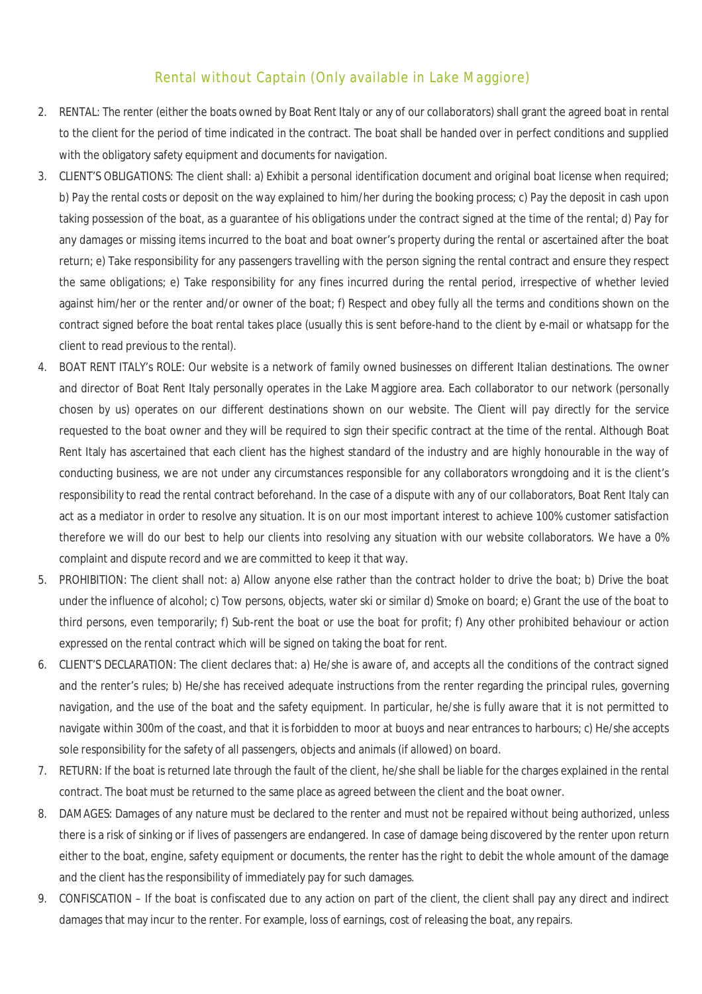## Rental without Captain (Only available in Lake Maggiore)

- 2. RENTAL: The renter (either the boats owned by Boat Rent Italy or any of our collaborators) shall grant the agreed boat in rental to the client for the period of time indicated in the contract. The boat shall be handed over in perfect conditions and supplied with the obligatory safety equipment and documents for navigation.
- 3. CLIENT'S OBLIGATIONS: The client shall: a) Exhibit a personal identification document and original boat license when required; b) Pay the rental costs or deposit on the way explained to him/her during the booking process; c) Pay the deposit in cash upon taking possession of the boat, as a guarantee of his obligations under the contract signed at the time of the rental; d) Pay for any damages or missing items incurred to the boat and boat owner's property during the rental or ascertained after the boat return; e) Take responsibility for any passengers travelling with the person signing the rental contract and ensure they respect the same obligations; e) Take responsibility for any fines incurred during the rental period, irrespective of whether levied against him/her or the renter and/or owner of the boat; f) Respect and obey fully all the terms and conditions shown on the contract signed before the boat rental takes place (usually this is sent before-hand to the client by e-mail or whatsapp for the client to read previous to the rental).
- 4. BOAT RENT ITALY's ROLE: Our website is a network of family owned businesses on different Italian destinations. The owner and director of Boat Rent Italy personally operates in the Lake Maggiore area. Each collaborator to our network (personally chosen by us) operates on our different destinations shown on our website. The Client will pay directly for the service requested to the boat owner and they will be required to sign their specific contract at the time of the rental. Although Boat Rent Italy has ascertained that each client has the highest standard of the industry and are highly honourable in the way of conducting business, we are not under any circumstances responsible for any collaborators wrongdoing and it is the client's responsibility to read the rental contract beforehand. In the case of a dispute with any of our collaborators, Boat Rent Italy can act as a mediator in order to resolve any situation. It is on our most important interest to achieve 100% customer satisfaction therefore we will do our best to help our clients into resolving any situation with our website collaborators. We have a 0% complaint and dispute record and we are committed to keep it that way.
- 5. PROHIBITION: The client shall not: a) Allow anyone else rather than the contract holder to drive the boat; b) Drive the boat under the influence of alcohol; c) Tow persons, objects, water ski or similar d) Smoke on board; e) Grant the use of the boat to third persons, even temporarily; f) Sub-rent the boat or use the boat for profit; f) Any other prohibited behaviour or action expressed on the rental contract which will be signed on taking the boat for rent.
- 6. CLIENT'S DECLARATION: The client declares that: a) He/she is aware of, and accepts all the conditions of the contract signed and the renter's rules; b) He/she has received adequate instructions from the renter regarding the principal rules, governing navigation, and the use of the boat and the safety equipment. In particular, he/she is fully aware that it is not permitted to navigate within 300m of the coast, and that it is forbidden to moor at buoys and near entrances to harbours; c) He/she accepts sole responsibility for the safety of all passengers, objects and animals (if allowed) on board.
- 7. RETURN: If the boat is returned late through the fault of the client, he/she shall be liable for the charges explained in the rental contract. The boat must be returned to the same place as agreed between the client and the boat owner.
- 8. DAMAGES: Damages of any nature must be declared to the renter and must not be repaired without being authorized, unless there is a risk of sinking or if lives of passengers are endangered. In case of damage being discovered by the renter upon return either to the boat, engine, safety equipment or documents, the renter has the right to debit the whole amount of the damage and the client has the responsibility of immediately pay for such damages.
- 9. CONFISCATION If the boat is confiscated due to any action on part of the client, the client shall pay any direct and indirect damages that may incur to the renter. For example, loss of earnings, cost of releasing the boat, any repairs.